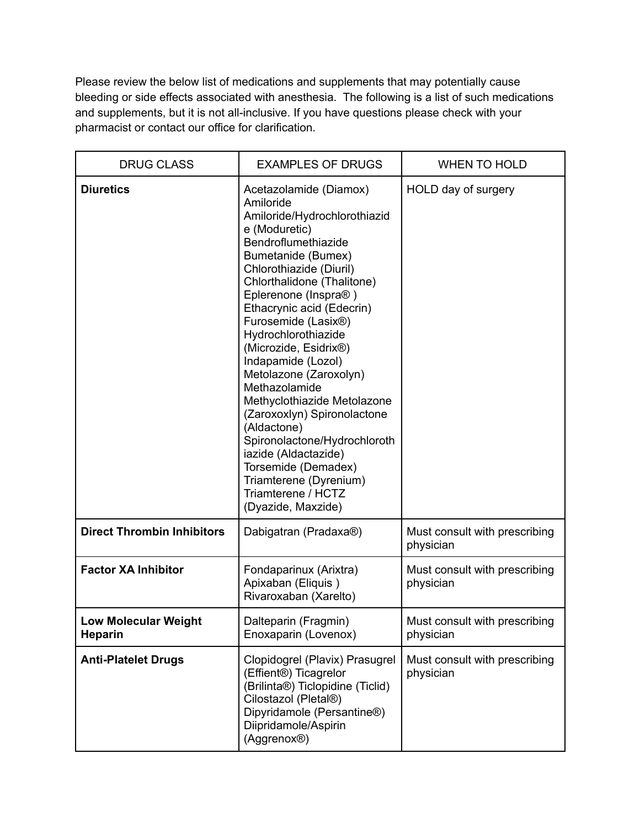Please review the below list of medications and supplements that may potentially cause bleeding or side effects associated with anesthesia. The following is a list of such medications and supplements, but it is not all-inclusive. If you have questions please check with your pharmacist or contact our office for clarification.

| <b>DRUG CLASS</b>                             | <b>EXAMPLES OF DRUGS</b>                                                                                                                                                                                                                                                                                                                                                                                                                                                                                                                                                                                                  | <b>WHEN TO HOLD</b>                        |
|-----------------------------------------------|---------------------------------------------------------------------------------------------------------------------------------------------------------------------------------------------------------------------------------------------------------------------------------------------------------------------------------------------------------------------------------------------------------------------------------------------------------------------------------------------------------------------------------------------------------------------------------------------------------------------------|--------------------------------------------|
| <b>Diuretics</b>                              | Acetazolamide (Diamox)<br>Amiloride<br>Amiloride/Hydrochlorothiazid<br>e (Moduretic)<br>Bendroflumethiazide<br>Bumetanide (Bumex)<br>Chlorothiazide (Diuril)<br>Chlorthalidone (Thalitone)<br>Eplerenone (Inspra®)<br>Ethacrynic acid (Edecrin)<br>Furosemide (Lasix®)<br>Hydrochlorothiazide<br>(Microzide, Esidrix®)<br>Indapamide (Lozol)<br>Metolazone (Zaroxolyn)<br>Methazolamide<br>Methyclothiazide Metolazone<br>(Zaroxoxlyn) Spironolactone<br>(Aldactone)<br>Spironolactone/Hydrochloroth<br>iazide (Aldactazide)<br>Torsemide (Demadex)<br>Triamterene (Dyrenium)<br>Triamterene / HCTZ<br>(Dyazide, Maxzide) | HOLD day of surgery                        |
| <b>Direct Thrombin Inhibitors</b>             | Dabigatran (Pradaxa®)                                                                                                                                                                                                                                                                                                                                                                                                                                                                                                                                                                                                     | Must consult with prescribing<br>physician |
| <b>Factor XA Inhibitor</b>                    | Fondaparinux (Arixtra)<br>Apixaban (Eliquis)<br>Rivaroxaban (Xarelto)                                                                                                                                                                                                                                                                                                                                                                                                                                                                                                                                                     | Must consult with prescribing<br>physician |
| <b>Low Molecular Weight</b><br><b>Heparin</b> | Dalteparin (Fragmin)<br>Enoxaparin (Lovenox)                                                                                                                                                                                                                                                                                                                                                                                                                                                                                                                                                                              | Must consult with prescribing<br>physician |
| <b>Anti-Platelet Drugs</b>                    | Clopidogrel (Plavix) Prasugrel<br>(Effient®) Ticagrelor<br>(Brilinta®) Ticlopidine (Ticlid)<br>Cilostazol (Pletal®)<br>Dipyridamole (Persantine®)<br>Diipridamole/Aspirin<br>(Aggrenox <sup>®</sup> )                                                                                                                                                                                                                                                                                                                                                                                                                     | Must consult with prescribing<br>physician |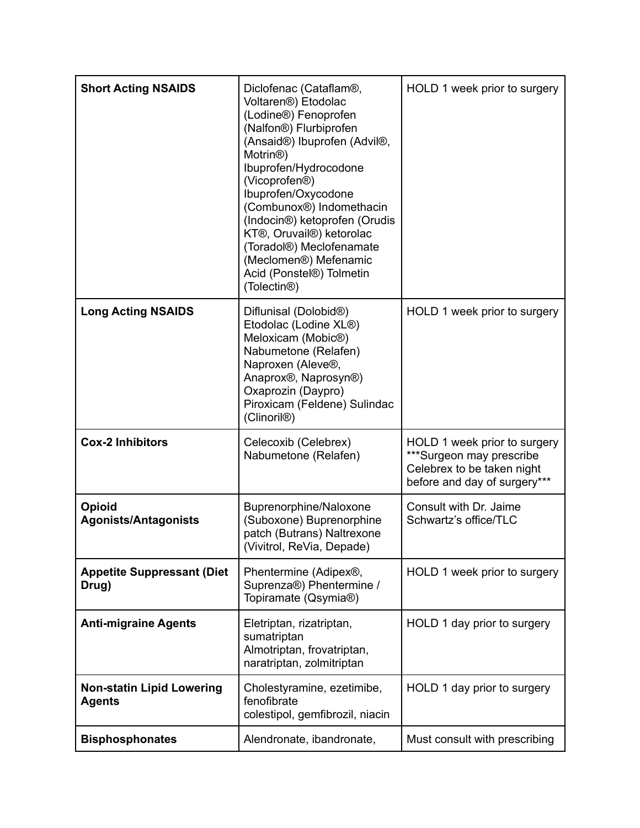| <b>Short Acting NSAIDS</b>                        | Diclofenac (Cataflam®,<br>Voltaren <sup>®</sup> ) Etodolac<br>(Lodine®) Fenoprofen<br>(Nalfon®) Flurbiprofen<br>(Ansaid®) Ibuprofen (Advil®,<br>Motrin <sup>®</sup> )<br>Ibuprofen/Hydrocodone<br>(Vicoprofen®)<br>Ibuprofen/Oxycodone<br>(Combunox <sup>®</sup> ) Indomethacin<br>(Indocin®) ketoprofen (Orudis<br>KT®, Oruvail®) ketorolac<br>(Toradol®) Meclofenamate<br>(Meclomen®) Mefenamic<br>Acid (Ponstel®) Tolmetin<br>(Tolectin <sup>®</sup> ) | HOLD 1 week prior to surgery                                                                                           |
|---------------------------------------------------|-----------------------------------------------------------------------------------------------------------------------------------------------------------------------------------------------------------------------------------------------------------------------------------------------------------------------------------------------------------------------------------------------------------------------------------------------------------|------------------------------------------------------------------------------------------------------------------------|
| <b>Long Acting NSAIDS</b>                         | Diflunisal (Dolobid®)<br>Etodolac (Lodine XL®)<br>Meloxicam (Mobic®)<br>Nabumetone (Relafen)<br>Naproxen (Aleve®,<br>Anaprox®, Naprosyn®)<br>Oxaprozin (Daypro)<br>Piroxicam (Feldene) Sulindac<br>(Clinoril <sup>®</sup> )                                                                                                                                                                                                                               | HOLD 1 week prior to surgery                                                                                           |
| <b>Cox-2 Inhibitors</b>                           | Celecoxib (Celebrex)<br>Nabumetone (Relafen)                                                                                                                                                                                                                                                                                                                                                                                                              | HOLD 1 week prior to surgery<br>***Surgeon may prescribe<br>Celebrex to be taken night<br>before and day of surgery*** |
| <b>Opioid</b><br><b>Agonists/Antagonists</b>      | Buprenorphine/Naloxone<br>(Suboxone) Buprenorphine<br>patch (Butrans) Naltrexone<br>(Vivitrol, ReVia, Depade)                                                                                                                                                                                                                                                                                                                                             | Consult with Dr. Jaime<br>Schwartz's office/TLC                                                                        |
| <b>Appetite Suppressant (Diet</b><br>Drug)        | Phentermine (Adipex®,<br>Suprenza®) Phentermine /<br>Topiramate (Qsymia®)                                                                                                                                                                                                                                                                                                                                                                                 | HOLD 1 week prior to surgery                                                                                           |
| <b>Anti-migraine Agents</b>                       | Eletriptan, rizatriptan,<br>sumatriptan<br>Almotriptan, frovatriptan,<br>naratriptan, zolmitriptan                                                                                                                                                                                                                                                                                                                                                        | HOLD 1 day prior to surgery                                                                                            |
| <b>Non-statin Lipid Lowering</b><br><b>Agents</b> | Cholestyramine, ezetimibe,<br>fenofibrate<br>colestipol, gemfibrozil, niacin                                                                                                                                                                                                                                                                                                                                                                              | HOLD 1 day prior to surgery                                                                                            |
| <b>Bisphosphonates</b>                            | Alendronate, ibandronate,                                                                                                                                                                                                                                                                                                                                                                                                                                 | Must consult with prescribing                                                                                          |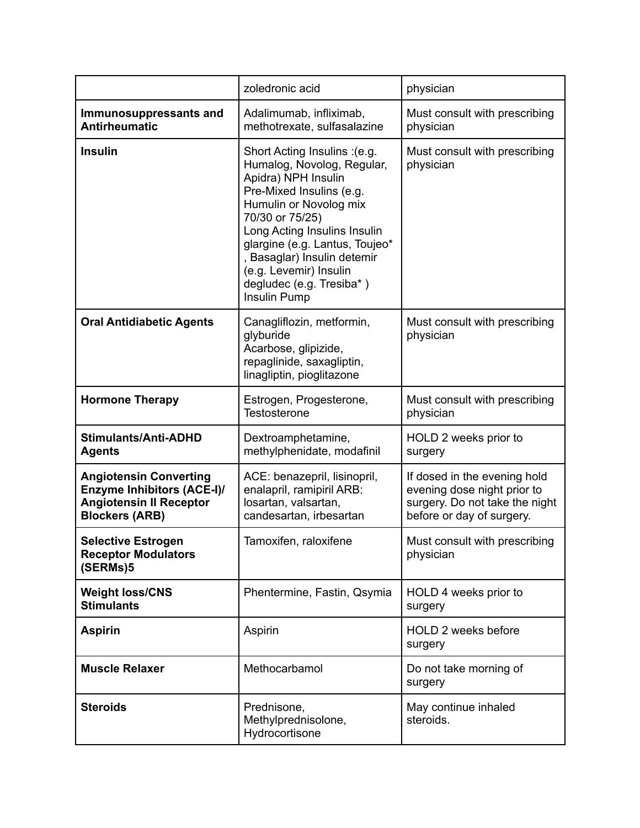|                                                                                                                               | zoledronic acid                                                                                                                                                                                                                                                                                                                    | physician                                                                                                                  |
|-------------------------------------------------------------------------------------------------------------------------------|------------------------------------------------------------------------------------------------------------------------------------------------------------------------------------------------------------------------------------------------------------------------------------------------------------------------------------|----------------------------------------------------------------------------------------------------------------------------|
| Immunosuppressants and<br><b>Antirheumatic</b>                                                                                | Adalimumab, infliximab,<br>methotrexate, sulfasalazine                                                                                                                                                                                                                                                                             | Must consult with prescribing<br>physician                                                                                 |
| <b>Insulin</b>                                                                                                                | Short Acting Insulins : (e.g.<br>Humalog, Novolog, Regular,<br>Apidra) NPH Insulin<br>Pre-Mixed Insulins (e.g.<br>Humulin or Novolog mix<br>70/30 or 75/25)<br>Long Acting Insulins Insulin<br>glargine (e.g. Lantus, Toujeo*<br>, Basaglar) Insulin detemir<br>(e.g. Levemir) Insulin<br>degludec (e.g. Tresiba*)<br>Insulin Pump | Must consult with prescribing<br>physician                                                                                 |
| <b>Oral Antidiabetic Agents</b>                                                                                               | Canagliflozin, metformin,<br>glyburide<br>Acarbose, glipizide,<br>repaglinide, saxagliptin,<br>linagliptin, pioglitazone                                                                                                                                                                                                           | Must consult with prescribing<br>physician                                                                                 |
| <b>Hormone Therapy</b>                                                                                                        | Estrogen, Progesterone,<br>Testosterone                                                                                                                                                                                                                                                                                            | Must consult with prescribing<br>physician                                                                                 |
| Stimulants/Anti-ADHD<br><b>Agents</b>                                                                                         | Dextroamphetamine,<br>methylphenidate, modafinil                                                                                                                                                                                                                                                                                   | HOLD 2 weeks prior to<br>surgery                                                                                           |
| <b>Angiotensin Converting</b><br><b>Enzyme Inhibitors (ACE-I)/</b><br><b>Angiotensin II Receptor</b><br><b>Blockers (ARB)</b> | ACE: benazepril, lisinopril,<br>enalapril, ramipiril ARB:<br>losartan, valsartan,<br>candesartan, irbesartan                                                                                                                                                                                                                       | If dosed in the evening hold<br>evening dose night prior to<br>surgery. Do not take the night<br>before or day of surgery. |
| <b>Selective Estrogen</b><br><b>Receptor Modulators</b><br>(SERMs)5                                                           | Tamoxifen, raloxifene                                                                                                                                                                                                                                                                                                              | Must consult with prescribing<br>physician                                                                                 |
| <b>Weight loss/CNS</b><br><b>Stimulants</b>                                                                                   | Phentermine, Fastin, Qsymia                                                                                                                                                                                                                                                                                                        | HOLD 4 weeks prior to<br>surgery                                                                                           |
| <b>Aspirin</b>                                                                                                                | Aspirin                                                                                                                                                                                                                                                                                                                            | HOLD 2 weeks before<br>surgery                                                                                             |
| <b>Muscle Relaxer</b>                                                                                                         | Methocarbamol                                                                                                                                                                                                                                                                                                                      | Do not take morning of<br>surgery                                                                                          |
| <b>Steroids</b>                                                                                                               | Prednisone,<br>Methylprednisolone,<br>Hydrocortisone                                                                                                                                                                                                                                                                               | May continue inhaled<br>steroids.                                                                                          |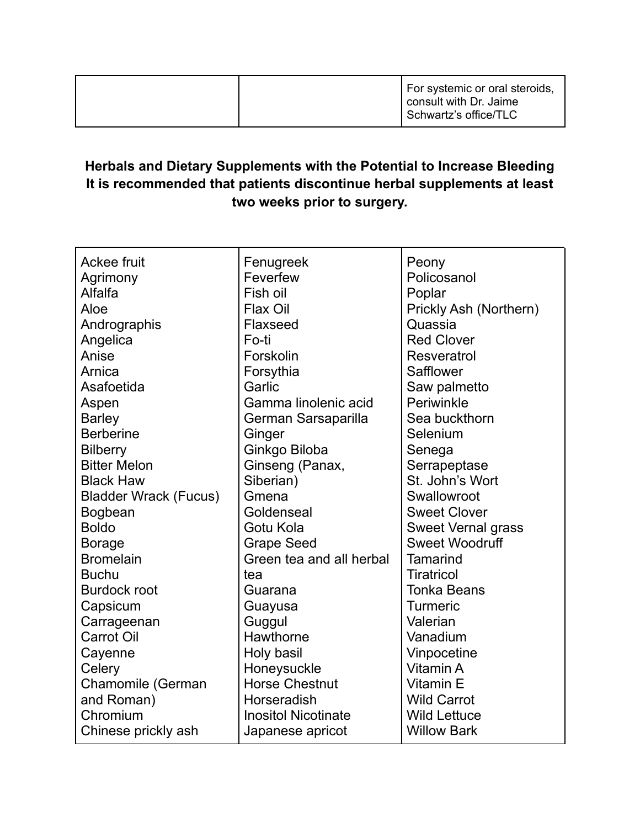|  |  | For systemic or oral steroids,<br>consult with Dr. Jaime<br>Schwartz's office/TLC |
|--|--|-----------------------------------------------------------------------------------|
|--|--|-----------------------------------------------------------------------------------|

## **Herbals and Dietary Supplements with the Potential to Increase Bleeding It is recommended that patients discontinue herbal supplements at least two weeks prior to surgery.**

| Ackee fruit                  | Fenugreek                  | Peony                     |
|------------------------------|----------------------------|---------------------------|
| Agrimony                     | Feverfew                   | Policosanol               |
| Alfalfa                      | Fish oil                   | Poplar                    |
| Aloe                         | Flax Oil                   | Prickly Ash (Northern)    |
| Andrographis                 | Flaxseed                   | Quassia                   |
| Angelica                     | Fo-ti                      | <b>Red Clover</b>         |
| Anise                        | Forskolin                  | Resveratrol               |
| Arnica                       | Forsythia                  | Safflower                 |
| Asafoetida                   | Garlic                     | Saw palmetto              |
| Aspen                        | Gamma linolenic acid       | Periwinkle                |
| <b>Barley</b>                | German Sarsaparilla        | Sea buckthorn             |
| <b>Berberine</b>             | Ginger                     | Selenium                  |
| <b>Bilberry</b>              | Ginkgo Biloba              | Senega                    |
| <b>Bitter Melon</b>          | Ginseng (Panax,            | Serrapeptase              |
| <b>Black Haw</b>             | Siberian)                  | St. John's Wort           |
| <b>Bladder Wrack (Fucus)</b> | Gmena                      | Swallowroot               |
| Bogbean                      | Goldenseal                 | <b>Sweet Clover</b>       |
| <b>Boldo</b>                 | Gotu Kola                  | <b>Sweet Vernal grass</b> |
| <b>Borage</b>                | <b>Grape Seed</b>          | <b>Sweet Woodruff</b>     |
| <b>Bromelain</b>             | Green tea and all herbal   | <b>Tamarind</b>           |
| <b>Buchu</b>                 | tea                        | <b>Tiratricol</b>         |
| <b>Burdock root</b>          | Guarana                    | <b>Tonka Beans</b>        |
| Capsicum                     | Guayusa                    | <b>Turmeric</b>           |
| Carrageenan                  | Guggul                     | Valerian                  |
| <b>Carrot Oil</b>            | Hawthorne                  | Vanadium                  |
| Cayenne                      | Holy basil                 | Vinpocetine               |
| Celery                       | Honeysuckle                | Vitamin A                 |
| Chamomile (German            | <b>Horse Chestnut</b>      | Vitamin E                 |
| and Roman)                   | Horseradish                | <b>Wild Carrot</b>        |
| Chromium                     | <b>Inositol Nicotinate</b> | <b>Wild Lettuce</b>       |
| Chinese prickly ash          | Japanese apricot           | <b>Willow Bark</b>        |